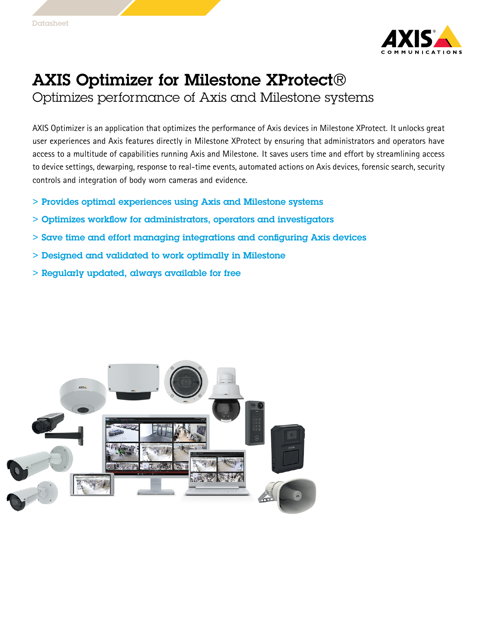

## AXIS Optimizer for Milestone XProtect®

Optimizes performance of Axis and Milestone systems

AXIS Optimizer is an application that optimizes the performance of Axis devices in Milestone XProtect. It unlocks great user experiences and Axis features directly in Milestone XProtect by ensuring that administrators and operators have access to <sup>a</sup> multitude of capabilities running Axis and Milestone. It saves users time and effort by streamlining access to device settings, dewarping, response to real-time events, automated actions on Axis devices, forensic search, security controls and integration of body worn cameras and evidence.

- > Provides optimal experiences using Axis and Milestone systems
- > Optimizes workflow for administrators, operators and investigators
- > Save time and effort managing integrations and configuring Axis devices
- > Designed and validated to work optimally in Milestone
- > Regularly updated, always available for free